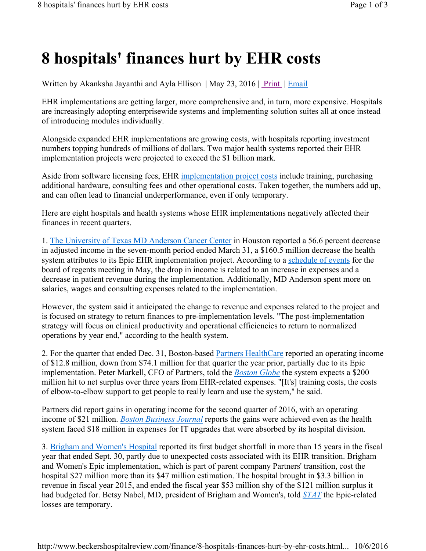## **8 hospitals' finances hurt by EHR costs**

Written by Akanksha Jayanthi and Ayla Ellison | May 23, 2016 | Print | Email

EHR implementations are getting larger, more comprehensive and, in turn, more expensive. Hospitals are increasingly adopting enterprisewide systems and implementing solution suites all at once instead of introducing modules individually.

Alongside expanded EHR implementations are growing costs, with hospitals reporting investment numbers topping hundreds of millions of dollars. Two major health systems reported their EHR implementation projects were projected to exceed the \$1 billion mark.

Aside from software licensing fees, EHR implementation project costs include training, purchasing additional hardware, consulting fees and other operational costs. Taken together, the numbers add up, and can often lead to financial underperformance, even if only temporary.

Here are eight hospitals and health systems whose EHR implementations negatively affected their finances in recent quarters.

1. The University of Texas MD Anderson Cancer Center in Houston reported a 56.6 percent decrease in adjusted income in the seven-month period ended March 31, a \$160.5 million decrease the health system attributes to its Epic EHR implementation project. According to a schedule of events for the board of regents meeting in May, the drop in income is related to an increase in expenses and a decrease in patient revenue during the implementation. Additionally, MD Anderson spent more on salaries, wages and consulting expenses related to the implementation.

However, the system said it anticipated the change to revenue and expenses related to the project and is focused on strategy to return finances to pre-implementation levels. "The post-implementation strategy will focus on clinical productivity and operational efficiencies to return to normalized operations by year end," according to the health system.

2. For the quarter that ended Dec. 31, Boston-based Partners HealthCare reported an operating income of \$12.8 million, down from \$74.1 million for that quarter the year prior, partially due to its Epic implementation. Peter Markell, CFO of Partners, told the *Boston Globe* the system expects a \$200 million hit to net surplus over three years from EHR-related expenses. "[It's] training costs, the costs of elbow-to-elbow support to get people to really learn and use the system," he said.

Partners did report gains in operating income for the second quarter of 2016, with an operating income of \$21 million. *Boston Business Journal* reports the gains were achieved even as the health system faced \$18 million in expenses for IT upgrades that were absorbed by its hospital division.

3. Brigham and Women's Hospital reported its first budget shortfall in more than 15 years in the fiscal year that ended Sept. 30, partly due to unexpected costs associated with its EHR transition. Brigham and Women's Epic implementation, which is part of parent company Partners' transition, cost the hospital \$27 million more than its \$47 million estimation. The hospital brought in \$3.3 billion in revenue in fiscal year 2015, and ended the fiscal year \$53 million shy of the \$121 million surplus it had budgeted for. Betsy Nabel, MD, president of Brigham and Women's, told *STAT* the Epic-related losses are temporary.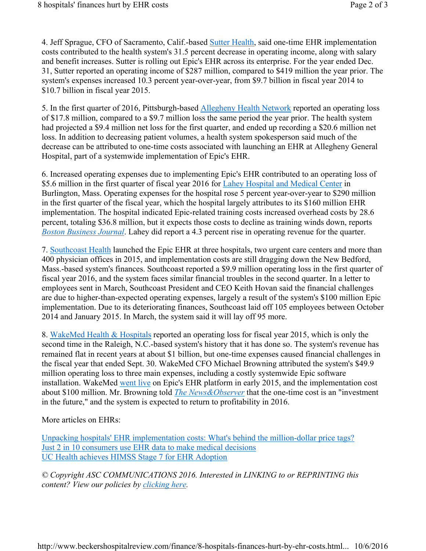4. Jeff Sprague, CFO of Sacramento, Calif.-based Sutter Health, said one-time EHR implementation costs contributed to the health system's 31.5 percent decrease in operating income, along with salary and benefit increases. Sutter is rolling out Epic's EHR across its enterprise. For the year ended Dec. 31, Sutter reported an operating income of \$287 million, compared to \$419 million the year prior. The system's expenses increased 10.3 percent year-over-year, from \$9.7 billion in fiscal year 2014 to \$10.7 billion in fiscal year 2015.

5. In the first quarter of 2016, Pittsburgh-based Allegheny Health Network reported an operating loss of \$17.8 million, compared to a \$9.7 million loss the same period the year prior. The health system had projected a \$9.4 million net loss for the first quarter, and ended up recording a \$20.6 million net loss. In addition to decreasing patient volumes, a health system spokesperson said much of the decrease can be attributed to one-time costs associated with launching an EHR at Allegheny General Hospital, part of a systemwide implementation of Epic's EHR.

6. Increased operating expenses due to implementing Epic's EHR contributed to an operating loss of \$5.6 million in the first quarter of fiscal year 2016 for Lahey Hospital and Medical Center in Burlington, Mass. Operating expenses for the hospital rose 5 percent year-over-year to \$290 million in the first quarter of the fiscal year, which the hospital largely attributes to its \$160 million EHR implementation. The hospital indicated Epic-related training costs increased overhead costs by 28.6 percent, totaling \$36.8 million, but it expects those costs to decline as training winds down, reports *Boston Business Journal*. Lahey did report a 4.3 percent rise in operating revenue for the quarter.

7. Southcoast Health launched the Epic EHR at three hospitals, two urgent care centers and more than 400 physician offices in 2015, and implementation costs are still dragging down the New Bedford, Mass.-based system's finances. Southcoast reported a \$9.9 million operating loss in the first quarter of fiscal year 2016, and the system faces similar financial troubles in the second quarter. In a letter to employees sent in March, Southcoast President and CEO Keith Hovan said the financial challenges are due to higher-than-expected operating expenses, largely a result of the system's \$100 million Epic implementation. Due to its deteriorating finances, Southcoast laid off 105 employees between October 2014 and January 2015. In March, the system said it will lay off 95 more.

8. WakeMed Health & Hospitals reported an operating loss for fiscal year 2015, which is only the second time in the Raleigh, N.C.-based system's history that it has done so. The system's revenue has remained flat in recent years at about \$1 billion, but one-time expenses caused financial challenges in the fiscal year that ended Sept. 30. WakeMed CFO Michael Browning attributed the system's \$49.9 million operating loss to three main expenses, including a costly systemwide Epic software installation. WakeMed went live on Epic's EHR platform in early 2015, and the implementation cost about \$100 million. Mr. Browning told *The News&Observer* that the one-time cost is an "investment in the future," and the system is expected to return to profitability in 2016.

More articles on EHRs:

Unpacking hospitals' EHR implementation costs: What's behind the million-dollar price tags? Just 2 in 10 consumers use EHR data to make medical decisions UC Health achieves HIMSS Stage 7 for EHR Adoption

*© Copyright ASC COMMUNICATIONS 2016. Interested in LINKING to or REPRINTING this content? View our policies by clicking here.*